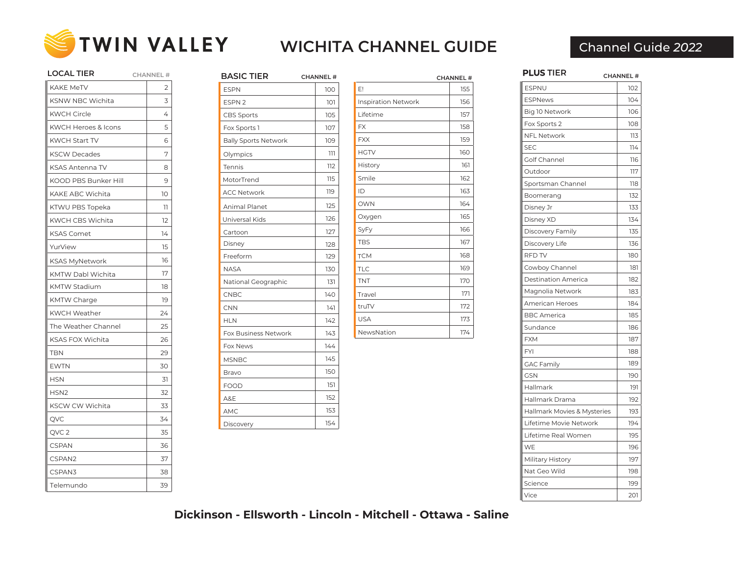

| LOCAL TIER              | <b>CHANNEL#</b> |
|-------------------------|-----------------|
| <b>KAKE MeTV</b>        | 2               |
| <b>KSNW NBC Wichita</b> | 3               |
| <b>KWCH Circle</b>      | 4               |
| KWCH Heroes & Icons     | 5               |
| <b>KWCH Start TV</b>    | 6               |
| <b>KSCW Decades</b>     | 7               |
| <b>KSAS Antenna TV</b>  | 8               |
| KOOD PBS Bunker Hill    | 9               |
| KAKE ABC Wichita        | 10              |
| KTWU PBS Topeka         | 11              |
| KWCH CBS Wichita        | 12              |
| <b>KSAS Comet</b>       | 14              |
| YurView                 | 15              |
| <b>KSAS MyNetwork</b>   | 16              |
| KMTW Dabl Wichita       | 17              |
| <b>KMTW Stadium</b>     | 18              |
| <b>KMTW Charge</b>      | 19              |
| <b>KWCH Weather</b>     | 24              |
| The Weather Channel     | 25              |
| <b>KSAS FOX Wichita</b> | 26              |
| TBN                     | 29              |
| <b>EWTN</b>             | 30              |
| <b>HSN</b>              | 31              |
| HSN <sub>2</sub>        | 32              |
| KSCW CW Wichita         | 33              |
| QVC                     | 34              |
| QVC 2                   | 35              |
| <b>CSPAN</b>            | 36              |
| CSPAN2                  | 37              |
| CSPAN3                  | 38              |
| Telemundo               | 39              |

| <b>BASIC TIER</b>           | <b>CHANNEL#</b> |
|-----------------------------|-----------------|
| <b>ESPN</b>                 | 100             |
| ESPN <sub>2</sub>           | 101             |
| <b>CBS Sports</b>           | 105             |
| Fox Sports 1                | 107             |
| <b>Bally Sports Network</b> | 109             |
| Olympics                    | ווו             |
| Tennis                      | 112             |
| MotorTrend                  | 115             |
| <b>ACC Network</b>          | 119             |
| Animal Planet               | 125             |
| Universal Kids              | 126             |
| Cartoon                     | 127             |
| Disney                      | 128             |
| Freeform                    | 129             |
| <b>NASA</b>                 | 130             |
| National Geographic         | 131             |
| CNBC                        | 140             |
| CNN                         | 141             |
| <b>HLN</b>                  | 142             |
| Fox Business Network        | 143             |
| Fox News                    | 144             |
| <b>MSNBC</b>                | 145             |
| Bravo                       | 150             |
| <b>FOOD</b>                 | 151             |
| A&E                         | 152             |
| AMC                         | 153             |
| Discovery                   | 154             |

|                            | <b>CHANNEL#</b> |
|----------------------------|-----------------|
| E!                         | 155             |
| <b>Inspiration Network</b> | 156             |
| Lifetime                   | 157             |
| <b>FX</b>                  | 158             |
| <b>FXX</b>                 | 159             |
| <b>HGTV</b>                | 160             |
| History                    | 161             |
| Smile                      | 162             |
| ID                         | 163             |
| <b>OWN</b>                 | 164             |
| Oxygen                     | 165             |
| SyFy                       | 166             |
| <b>TBS</b>                 | 167             |
| <b>TCM</b>                 | 168             |
| <b>TLC</b>                 | 169             |
| <b>TNT</b>                 | 170             |
| Travel                     | 171             |
| truTV                      | 172             |
| <b>USA</b>                 | 173             |
| NewsNation                 | 174             |

| 102<br><b>ESPNU</b><br><b>ESPNews</b><br>104<br>Big 10 Network<br>106<br>Fox Sports 2<br>108<br><b>NFL Network</b><br>113<br>114<br><b>SEC</b><br>Golf Channel<br>116<br>Outdoor<br>117<br>Sportsman Channel<br>118<br>132<br>Boomerang<br>133<br>Disney Jr<br>Disney XD<br>134<br>135<br>Discovery Family<br>Discovery Life<br>136<br>RFD TV<br>180<br>Cowboy Channel<br>181<br><b>Destination America</b><br>182<br>Magnolia Network<br>183<br><b>American Heroes</b><br>184<br><b>BBC</b> America<br>185<br>Sundance<br>186<br><b>FXM</b><br>187<br><b>FYI</b><br>188<br>189<br><b>GAC Family</b><br><b>GSN</b><br>190<br>Hallmark<br>191<br>Hallmark Drama<br>192<br>Hallmark Movies & Mysteries<br>193<br>Lifetime Movie Network<br>194<br>Lifetime Real Women<br>195<br>WE<br>196<br>Military History<br>197<br>Nat Geo Wild<br>198<br>Science<br>199<br>Vice<br>201 | <b>PLUS TIER</b> | <b>CHANNEL#</b> |
|----------------------------------------------------------------------------------------------------------------------------------------------------------------------------------------------------------------------------------------------------------------------------------------------------------------------------------------------------------------------------------------------------------------------------------------------------------------------------------------------------------------------------------------------------------------------------------------------------------------------------------------------------------------------------------------------------------------------------------------------------------------------------------------------------------------------------------------------------------------------------|------------------|-----------------|
|                                                                                                                                                                                                                                                                                                                                                                                                                                                                                                                                                                                                                                                                                                                                                                                                                                                                            |                  |                 |
|                                                                                                                                                                                                                                                                                                                                                                                                                                                                                                                                                                                                                                                                                                                                                                                                                                                                            |                  |                 |
|                                                                                                                                                                                                                                                                                                                                                                                                                                                                                                                                                                                                                                                                                                                                                                                                                                                                            |                  |                 |
|                                                                                                                                                                                                                                                                                                                                                                                                                                                                                                                                                                                                                                                                                                                                                                                                                                                                            |                  |                 |
|                                                                                                                                                                                                                                                                                                                                                                                                                                                                                                                                                                                                                                                                                                                                                                                                                                                                            |                  |                 |
|                                                                                                                                                                                                                                                                                                                                                                                                                                                                                                                                                                                                                                                                                                                                                                                                                                                                            |                  |                 |
|                                                                                                                                                                                                                                                                                                                                                                                                                                                                                                                                                                                                                                                                                                                                                                                                                                                                            |                  |                 |
|                                                                                                                                                                                                                                                                                                                                                                                                                                                                                                                                                                                                                                                                                                                                                                                                                                                                            |                  |                 |
|                                                                                                                                                                                                                                                                                                                                                                                                                                                                                                                                                                                                                                                                                                                                                                                                                                                                            |                  |                 |
|                                                                                                                                                                                                                                                                                                                                                                                                                                                                                                                                                                                                                                                                                                                                                                                                                                                                            |                  |                 |
|                                                                                                                                                                                                                                                                                                                                                                                                                                                                                                                                                                                                                                                                                                                                                                                                                                                                            |                  |                 |
|                                                                                                                                                                                                                                                                                                                                                                                                                                                                                                                                                                                                                                                                                                                                                                                                                                                                            |                  |                 |
|                                                                                                                                                                                                                                                                                                                                                                                                                                                                                                                                                                                                                                                                                                                                                                                                                                                                            |                  |                 |
|                                                                                                                                                                                                                                                                                                                                                                                                                                                                                                                                                                                                                                                                                                                                                                                                                                                                            |                  |                 |
|                                                                                                                                                                                                                                                                                                                                                                                                                                                                                                                                                                                                                                                                                                                                                                                                                                                                            |                  |                 |
|                                                                                                                                                                                                                                                                                                                                                                                                                                                                                                                                                                                                                                                                                                                                                                                                                                                                            |                  |                 |
|                                                                                                                                                                                                                                                                                                                                                                                                                                                                                                                                                                                                                                                                                                                                                                                                                                                                            |                  |                 |
|                                                                                                                                                                                                                                                                                                                                                                                                                                                                                                                                                                                                                                                                                                                                                                                                                                                                            |                  |                 |
|                                                                                                                                                                                                                                                                                                                                                                                                                                                                                                                                                                                                                                                                                                                                                                                                                                                                            |                  |                 |
|                                                                                                                                                                                                                                                                                                                                                                                                                                                                                                                                                                                                                                                                                                                                                                                                                                                                            |                  |                 |
|                                                                                                                                                                                                                                                                                                                                                                                                                                                                                                                                                                                                                                                                                                                                                                                                                                                                            |                  |                 |
|                                                                                                                                                                                                                                                                                                                                                                                                                                                                                                                                                                                                                                                                                                                                                                                                                                                                            |                  |                 |
|                                                                                                                                                                                                                                                                                                                                                                                                                                                                                                                                                                                                                                                                                                                                                                                                                                                                            |                  |                 |
|                                                                                                                                                                                                                                                                                                                                                                                                                                                                                                                                                                                                                                                                                                                                                                                                                                                                            |                  |                 |
|                                                                                                                                                                                                                                                                                                                                                                                                                                                                                                                                                                                                                                                                                                                                                                                                                                                                            |                  |                 |
|                                                                                                                                                                                                                                                                                                                                                                                                                                                                                                                                                                                                                                                                                                                                                                                                                                                                            |                  |                 |
|                                                                                                                                                                                                                                                                                                                                                                                                                                                                                                                                                                                                                                                                                                                                                                                                                                                                            |                  |                 |
|                                                                                                                                                                                                                                                                                                                                                                                                                                                                                                                                                                                                                                                                                                                                                                                                                                                                            |                  |                 |
|                                                                                                                                                                                                                                                                                                                                                                                                                                                                                                                                                                                                                                                                                                                                                                                                                                                                            |                  |                 |
|                                                                                                                                                                                                                                                                                                                                                                                                                                                                                                                                                                                                                                                                                                                                                                                                                                                                            |                  |                 |
|                                                                                                                                                                                                                                                                                                                                                                                                                                                                                                                                                                                                                                                                                                                                                                                                                                                                            |                  |                 |
|                                                                                                                                                                                                                                                                                                                                                                                                                                                                                                                                                                                                                                                                                                                                                                                                                                                                            |                  |                 |
|                                                                                                                                                                                                                                                                                                                                                                                                                                                                                                                                                                                                                                                                                                                                                                                                                                                                            |                  |                 |
|                                                                                                                                                                                                                                                                                                                                                                                                                                                                                                                                                                                                                                                                                                                                                                                                                                                                            |                  |                 |
|                                                                                                                                                                                                                                                                                                                                                                                                                                                                                                                                                                                                                                                                                                                                                                                                                                                                            |                  |                 |

**Dickinson - Ellsworth - Lincoln - Mitchell - Ottawa - Saline**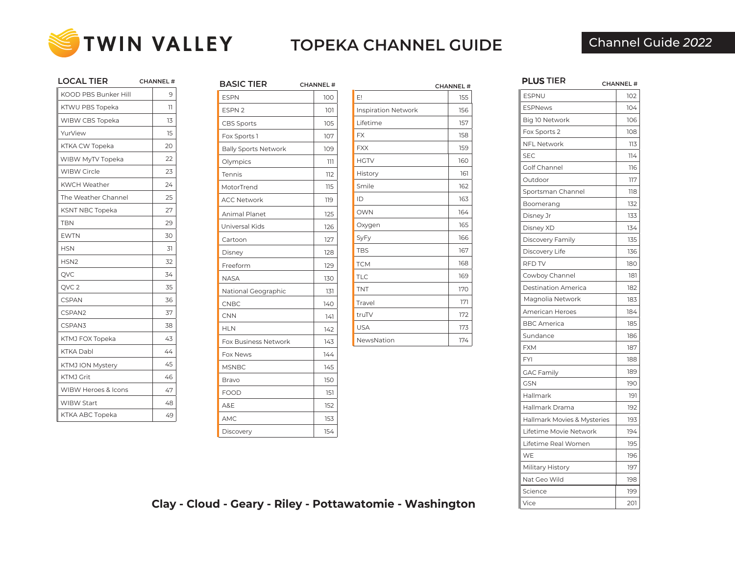

**LOCAL TIER**

## Channel Guide *2022*

| LOCAL HER                      | <b>CHANNEL#</b> |
|--------------------------------|-----------------|
| <b>KOOD PBS Bunker Hill</b>    | 9               |
| KTWU PBS Topeka                | 11              |
| WIBW CBS Topeka                | 13              |
| YurView                        | 15              |
| KTKA CW Topeka                 | 20              |
| WIBW MyTV Topeka               | 22              |
| <b>WIBW Circle</b>             | 23              |
| <b>KWCH Weather</b>            | 24              |
| The Weather Channel            | 25              |
| <b>KSNT NBC Topeka</b>         | 27              |
| TBN                            | 29              |
| <b>EWTN</b>                    | 30              |
| <b>HSN</b>                     | 31              |
| HSN <sub>2</sub>               | 32              |
| QVC                            | 34              |
| QVC <sub>2</sub>               | 35              |
| <b>CSPAN</b>                   | 36              |
| CSPAN2                         | 37              |
| CSPAN3                         | 38              |
| KTMJ FOX Topeka                | 43              |
| <b>KTKA Dabl</b>               | 44              |
| KTMJ ION Mystery               | 45              |
| <b>KTMJ Grit</b>               | 46              |
| <b>WIBW Heroes &amp; Icons</b> | 47              |
| <b>WIBW Start</b>              | 48              |
| KTKA ABC Topeka                | 49              |
|                                |                 |

| <b>BASIC TIER</b>           | <b>CHANNEL#</b> |
|-----------------------------|-----------------|
| <b>ESPN</b>                 | 100             |
| ESPN <sub>2</sub>           | 101             |
| <b>CBS Sports</b>           | 105             |
| Fox Sports 1                | 107             |
| <b>Bally Sports Network</b> | 109             |
| Olympics                    | ווו             |
| <b>Tennis</b>               | 112             |
| MotorTrend                  | 115             |
| <b>ACC Network</b>          | 119             |
| Animal Planet               | 125             |
| Universal Kids              | 126             |
| Cartoon                     | 127             |
| Disney                      | 128             |
| Freeform                    | 129             |
| <b>NASA</b>                 | 130             |
| National Geographic         | 131             |
| CNBC                        | 140             |
| <b>CNN</b>                  | 141             |
| <b>HLN</b>                  | 142             |
| Fox Business Network        | 143             |
| Fox News                    | 144             |
| <b>MSNBC</b>                | 145             |
| Bravo                       | 150             |
| <b>FOOD</b>                 | 151             |
| A&E                         | 152             |
| AMC                         | 153             |
| Discovery                   | 154             |

|                     | <b>CHANNEL#</b> |
|---------------------|-----------------|
| E!                  | 155             |
| Inspiration Network | 156             |
| Lifetime            | 157             |
| <b>FX</b>           | 158             |
| <b>FXX</b>          | 159             |
| <b>HGTV</b>         | 160             |
| History             | 161             |
| Smile               | 162             |
| ID                  | 163             |
| <b>OWN</b>          | 164             |
| Oxygen              | 165             |
| SyFy                | 166             |
| <b>TBS</b>          | 167             |
| <b>TCM</b>          | 168             |
| <b>TLC</b>          | 169             |
| <b>TNT</b>          | 170             |
| Travel              | 171             |
| truTV               | 172             |
| <b>USA</b>          | 173             |
| NewsNation          | 174             |

| <b>PLUS TIER</b>            | <b>CHANNEL#</b> |
|-----------------------------|-----------------|
| <b>ESPNU</b>                | 102             |
| <b>ESPNews</b>              | 104             |
| Big 10 Network              | 106             |
| Fox Sports 2                | 108             |
| <b>NFL Network</b>          | 113             |
| <b>SEC</b>                  | 114             |
| Golf Channel                | 116             |
| Outdoor                     | 117             |
| Sportsman Channel           | 118             |
| Boomerang                   | 132             |
| Disney Jr                   | 133             |
| Disney XD                   | 134             |
| Discovery Family            | 135             |
| Discovery Life              | 136             |
| RFD TV                      | 180             |
| Cowboy Channel              | 181             |
| <b>Destination America</b>  | 182             |
| Magnolia Network            | 183             |
| <b>American Heroes</b>      | 184             |
| <b>BBC</b> America          | 185             |
| Sundance                    | 186             |
| <b>FXM</b>                  | 187             |
| <b>FYI</b>                  | 188             |
| <b>GAC Family</b>           | 189             |
| GSN                         | 190             |
| Hallmark                    | 191             |
| Hallmark Drama              | 192             |
| Hallmark Movies & Mysteries | 193             |
| Lifetime Movie Network      | 194             |
| Lifetime Real Women         | 195             |
| WE                          | 196             |
| Military History            | 197             |
| Nat Geo Wild                | 198             |
| Science                     | 199             |
| Vice                        | 201             |

**Clay - Cloud - Geary - Riley - Pottawatomie - Washington**